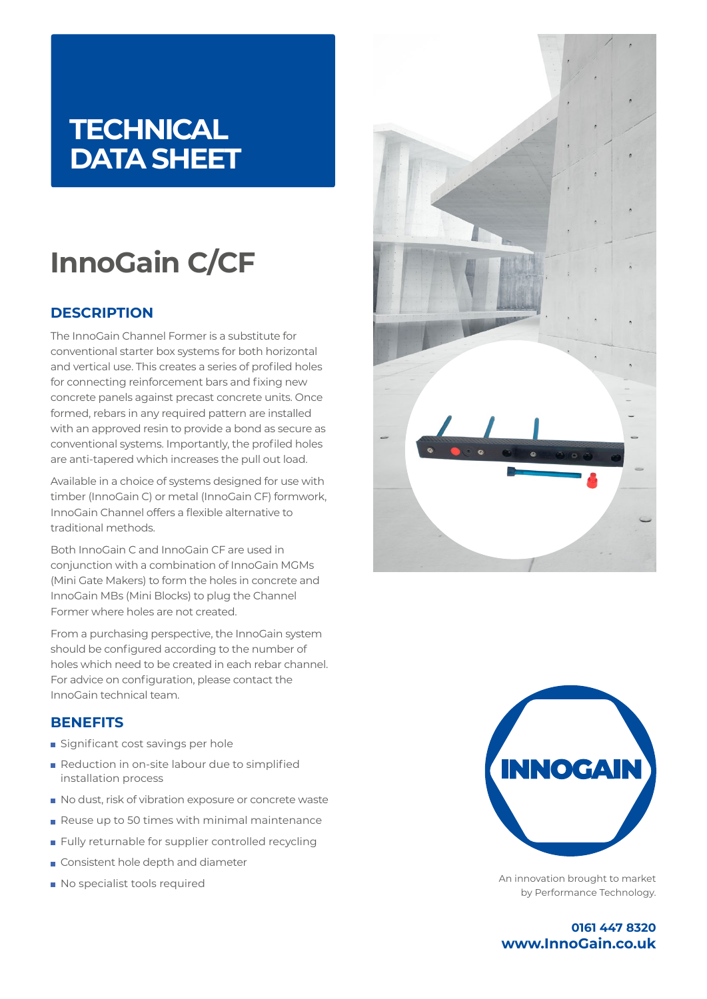## **TECHNICAL DATA SHEET**

# **InnoGain C/CF**

## **DESCRIPTION**

The InnoGain Channel Former is a substitute for conventional starter box systems for both horizontal and vertical use. This creates a series of profiled holes for connecting reinforcement bars and fixing new concrete panels against precast concrete units. Once formed, rebars in any required pattern are installed with an approved resin to provide a bond as secure as conventional systems. Importantly, the profiled holes are anti-tapered which increases the pull out load.

Available in a choice of systems designed for use with timber (InnoGain C) or metal (InnoGain CF) formwork, InnoGain Channel offers a flexible alternative to traditional methods.

Both InnoGain C and InnoGain CF are used in conjunction with a combination of InnoGain MGMs (Mini Gate Makers) to form the holes in concrete and InnoGain MBs (Mini Blocks) to plug the Channel Former where holes are not created.

From a purchasing perspective, the InnoGain system should be configured according to the number of holes which need to be created in each rebar channel. For advice on configuration, please contact the InnoGain technical team.

### **BENEFITS**

- Significant cost savings per hole
- Reduction in on-site labour due to simplified installation process
- No dust, risk of vibration exposure or concrete waste
- Reuse up to 50 times with minimal maintenance
- **Fully returnable for supplier controlled recycling**
- Consistent hole depth and diameter
- No specialist tools required





An innovation brought to market by Performance Technology.

**0161 447 8320 www.InnoGain.co.uk**